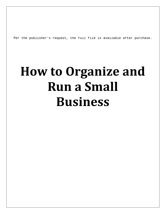Per the publisher's request, the full file is available after purchase.

# **How to Organize and Run a Small Business**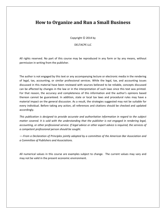## **How to Organize and Run a Small Business**

Copyright  $\odot$  2014 by

DELTACPE LLC

All rights reserved. No part of this course may be reproduced in any form or by any means, without permission in writing from the publisher.

The author is not engaged by this text or any accompanying lecture or electronic media in the rendering of legal, tax, accounting, or similar professional services. While the legal, tax, and accounting issues discussed in this material have been reviewed with sources believed to be reliable, concepts discussed can be affected by changes in the law or in the interpretation of such laws since this text was printed. For that reason, the accuracy and completeness of this information and the author's opinions based thereon cannot be guaranteed. In addition, state or local tax laws and procedural rules may have a material impact on the general discussion. As a result, the strategies suggested may not be suitable for every individual. Before taking any action, all references and citations should be checked and updated accordingly.

*This publication is designed to provide accurate and authoritative information in regard to the subject matter covered. It is sold with the understanding that the publisher is not engaged in rendering legal, accounting, or other professional service. If legal advice or other expert advice is required, the services of a competent professional person should be sought.*

*—-From a Declaration of Principles jointly adopted by a committee of the American Bar Association and a Committee of Publishers and Associations.*

All numerical values in this course are examples subject to change. The current values may vary and may not be valid in the present economic environment.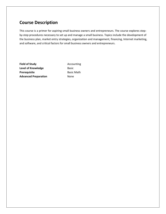## **Course Description**

This course is a primer for aspiring small business owners and entrepreneurs. The course explores stepby-step procedures necessary to set up and manage a small business. Topics include the development of the business plan, market entry strategies, organization and management, financing, Internet marketing, and software, and critical factors for small business owners and entrepreneurs.

**Field of Study Accounting Level of Knowledge** Basic **Prerequisite** Basic Math **Advanced Preparation** None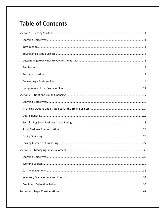## **Table of Contents**

| Section 4: |
|------------|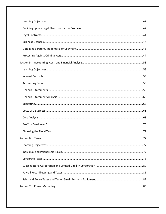| Section 7: |  |
|------------|--|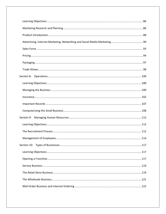| Section 9: |  |
|------------|--|
|            |  |
|            |  |
|            |  |
|            |  |
|            |  |
|            |  |
|            |  |
|            |  |
|            |  |
|            |  |